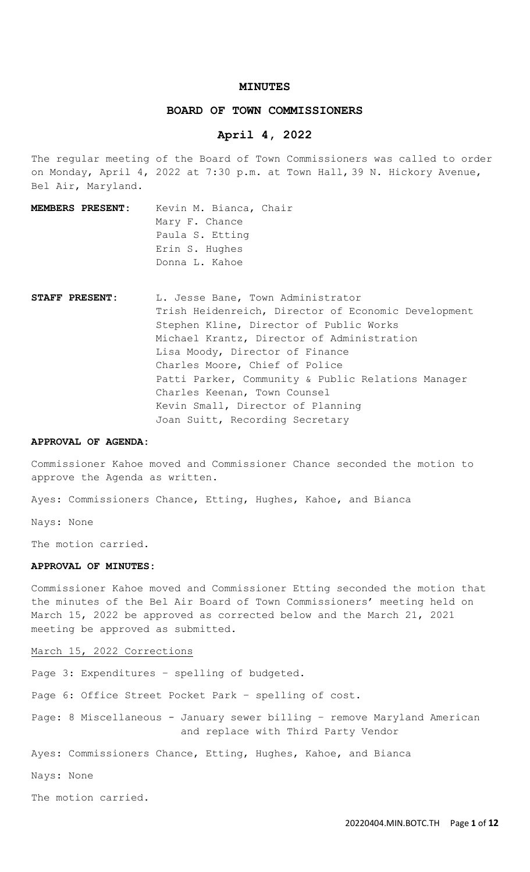#### **MINUTES**

### **BOARD OF TOWN COMMISSIONERS**

# **April 4, 2022**

The regular meeting of the Board of Town Commissioners was called to order on Monday, April 4, 2022 at 7:30 p.m. at Town Hall, 39 N. Hickory Avenue, Bel Air, Maryland.

- **MEMBERS PRESENT:** Kevin M. Bianca, Chair Mary F. Chance Paula S. Etting Erin S. Hughes Donna L. Kahoe
- STAFF PRESENT: L. Jesse Bane, Town Administrator Trish Heidenreich, Director of Economic Development Stephen Kline, Director of Public Works Michael Krantz, Director of Administration Lisa Moody, Director of Finance Charles Moore, Chief of Police Patti Parker, Community & Public Relations Manager Charles Keenan, Town Counsel Kevin Small, Director of Planning Joan Suitt, Recording Secretary

#### **APPROVAL OF AGENDA:**

Commissioner Kahoe moved and Commissioner Chance seconded the motion to approve the Agenda as written.

Ayes: Commissioners Chance, Etting, Hughes, Kahoe, and Bianca

Nays: None

The motion carried.

### **APPROVAL OF MINUTES:**

Commissioner Kahoe moved and Commissioner Etting seconded the motion that the minutes of the Bel Air Board of Town Commissioners' meeting held on March 15, 2022 be approved as corrected below and the March 21, 2021 meeting be approved as submitted.

## March 15, 2022 Corrections

Page 3: Expenditures – spelling of budgeted.

Page 6: Office Street Pocket Park – spelling of cost.

Page: 8 Miscellaneous - January sewer billing – remove Maryland American and replace with Third Party Vendor

Ayes: Commissioners Chance, Etting, Hughes, Kahoe, and Bianca

Nays: None

The motion carried.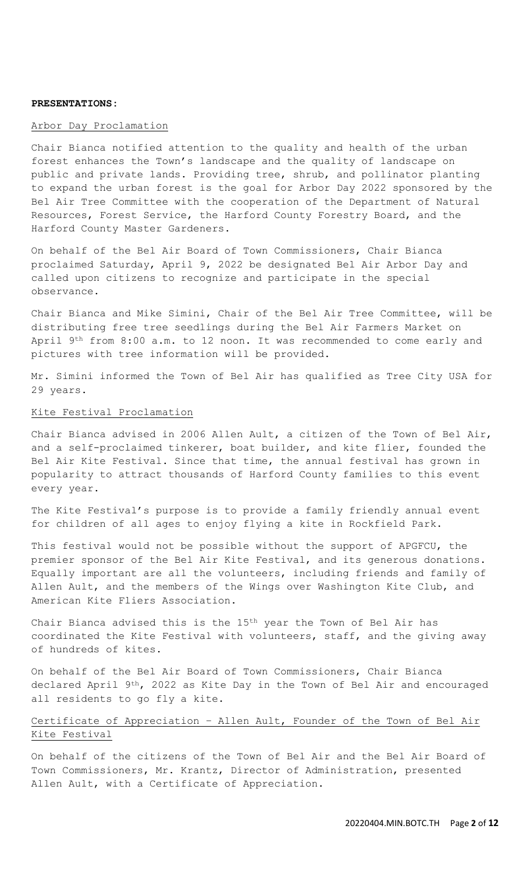#### **PRESENTATIONS:**

## Arbor Day Proclamation

Chair Bianca notified attention to the quality and health of the urban forest enhances the Town's landscape and the quality of landscape on public and private lands. Providing tree, shrub, and pollinator planting to expand the urban forest is the goal for Arbor Day 2022 sponsored by the Bel Air Tree Committee with the cooperation of the Department of Natural Resources, Forest Service, the Harford County Forestry Board, and the Harford County Master Gardeners.

On behalf of the Bel Air Board of Town Commissioners, Chair Bianca proclaimed Saturday, April 9, 2022 be designated Bel Air Arbor Day and called upon citizens to recognize and participate in the special observance.

Chair Bianca and Mike Simini, Chair of the Bel Air Tree Committee, will be distributing free tree seedlings during the Bel Air Farmers Market on April 9<sup>th</sup> from 8:00 a.m. to 12 noon. It was recommended to come early and pictures with tree information will be provided.

Mr. Simini informed the Town of Bel Air has qualified as Tree City USA for 29 years.

#### Kite Festival Proclamation

Chair Bianca advised in 2006 Allen Ault, a citizen of the Town of Bel Air, and a self-proclaimed tinkerer, boat builder, and kite flier, founded the Bel Air Kite Festival. Since that time, the annual festival has grown in popularity to attract thousands of Harford County families to this event every year.

The Kite Festival's purpose is to provide a family friendly annual event for children of all ages to enjoy flying a kite in Rockfield Park.

This festival would not be possible without the support of APGFCU, the premier sponsor of the Bel Air Kite Festival, and its generous donations. Equally important are all the volunteers, including friends and family of Allen Ault, and the members of the Wings over Washington Kite Club, and American Kite Fliers Association.

Chair Bianca advised this is the 15th year the Town of Bel Air has coordinated the Kite Festival with volunteers, staff, and the giving away of hundreds of kites.

On behalf of the Bel Air Board of Town Commissioners, Chair Bianca declared April 9<sup>th</sup>, 2022 as Kite Day in the Town of Bel Air and encouraged all residents to go fly a kite.

# Certificate of Appreciation – Allen Ault, Founder of the Town of Bel Air Kite Festival

On behalf of the citizens of the Town of Bel Air and the Bel Air Board of Town Commissioners, Mr. Krantz, Director of Administration, presented Allen Ault, with a Certificate of Appreciation.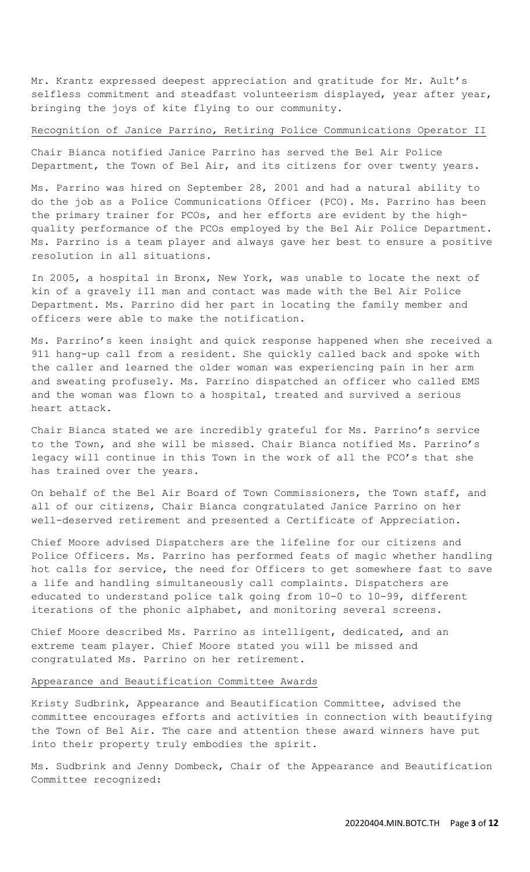Mr. Krantz expressed deepest appreciation and gratitude for Mr. Ault's selfless commitment and steadfast volunteerism displayed, year after year, bringing the joys of kite flying to our community.

#### Recognition of Janice Parrino, Retiring Police Communications Operator II

Chair Bianca notified Janice Parrino has served the Bel Air Police Department, the Town of Bel Air, and its citizens for over twenty years.

Ms. Parrino was hired on September 28, 2001 and had a natural ability to do the job as a Police Communications Officer (PCO). Ms. Parrino has been the primary trainer for PCOs, and her efforts are evident by the highquality performance of the PCOs employed by the Bel Air Police Department. Ms. Parrino is a team player and always gave her best to ensure a positive resolution in all situations.

In 2005, a hospital in Bronx, New York, was unable to locate the next of kin of a gravely ill man and contact was made with the Bel Air Police Department. Ms. Parrino did her part in locating the family member and officers were able to make the notification.

Ms. Parrino's keen insight and quick response happened when she received a 911 hang-up call from a resident. She quickly called back and spoke with the caller and learned the older woman was experiencing pain in her arm and sweating profusely. Ms. Parrino dispatched an officer who called EMS and the woman was flown to a hospital, treated and survived a serious heart attack.

Chair Bianca stated we are incredibly grateful for Ms. Parrino's service to the Town, and she will be missed. Chair Bianca notified Ms. Parrino's legacy will continue in this Town in the work of all the PCO's that she has trained over the years.

On behalf of the Bel Air Board of Town Commissioners, the Town staff, and all of our citizens, Chair Bianca congratulated Janice Parrino on her well-deserved retirement and presented a Certificate of Appreciation.

Chief Moore advised Dispatchers are the lifeline for our citizens and Police Officers. Ms. Parrino has performed feats of magic whether handling hot calls for service, the need for Officers to get somewhere fast to save a life and handling simultaneously call complaints. Dispatchers are educated to understand police talk going from 10-0 to 10-99, different iterations of the phonic alphabet, and monitoring several screens.

Chief Moore described Ms. Parrino as intelligent, dedicated, and an extreme team player. Chief Moore stated you will be missed and congratulated Ms. Parrino on her retirement.

## Appearance and Beautification Committee Awards

Kristy Sudbrink, Appearance and Beautification Committee, advised the committee encourages efforts and activities in connection with beautifying the Town of Bel Air. The care and attention these award winners have put into their property truly embodies the spirit.

Ms. Sudbrink and Jenny Dombeck, Chair of the Appearance and Beautification Committee recognized: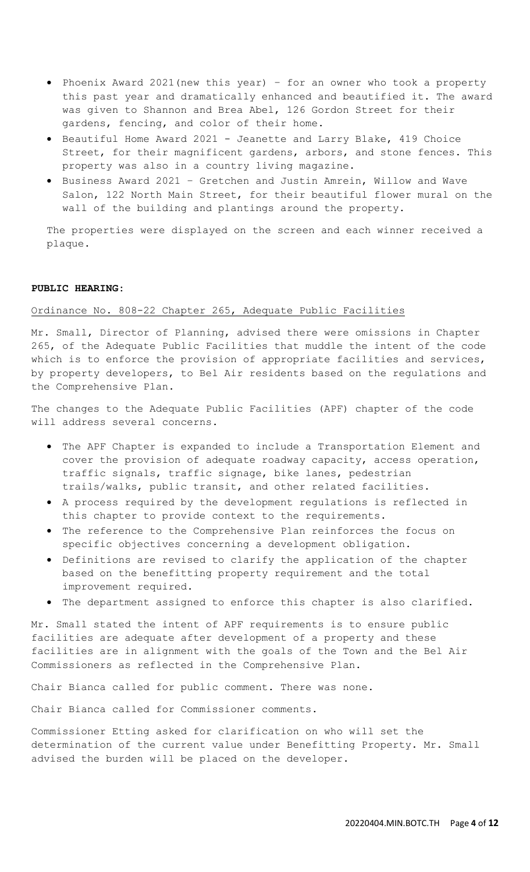- Phoenix Award 2021(new this year) for an owner who took a property this past year and dramatically enhanced and beautified it. The award was given to Shannon and Brea Abel, 126 Gordon Street for their gardens, fencing, and color of their home.
- Beautiful Home Award 2021 Jeanette and Larry Blake, 419 Choice Street, for their magnificent gardens, arbors, and stone fences. This property was also in a country living magazine.
- Business Award 2021 Gretchen and Justin Amrein, Willow and Wave Salon, 122 North Main Street, for their beautiful flower mural on the wall of the building and plantings around the property.

The properties were displayed on the screen and each winner received a plaque.

## **PUBLIC HEARING:**

## Ordinance No. 808-22 Chapter 265, Adequate Public Facilities

Mr. Small, Director of Planning, advised there were omissions in Chapter 265, of the Adequate Public Facilities that muddle the intent of the code which is to enforce the provision of appropriate facilities and services, by property developers, to Bel Air residents based on the regulations and the Comprehensive Plan.

The changes to the Adequate Public Facilities (APF) chapter of the code will address several concerns.

- The APF Chapter is expanded to include a Transportation Element and cover the provision of adequate roadway capacity, access operation, traffic signals, traffic signage, bike lanes, pedestrian trails/walks, public transit, and other related facilities.
- A process required by the development regulations is reflected in this chapter to provide context to the requirements.
- The reference to the Comprehensive Plan reinforces the focus on specific objectives concerning a development obligation.
- Definitions are revised to clarify the application of the chapter based on the benefitting property requirement and the total improvement required.
- The department assigned to enforce this chapter is also clarified.

Mr. Small stated the intent of APF requirements is to ensure public facilities are adequate after development of a property and these facilities are in alignment with the goals of the Town and the Bel Air Commissioners as reflected in the Comprehensive Plan.

Chair Bianca called for public comment. There was none.

Chair Bianca called for Commissioner comments.

Commissioner Etting asked for clarification on who will set the determination of the current value under Benefitting Property. Mr. Small advised the burden will be placed on the developer.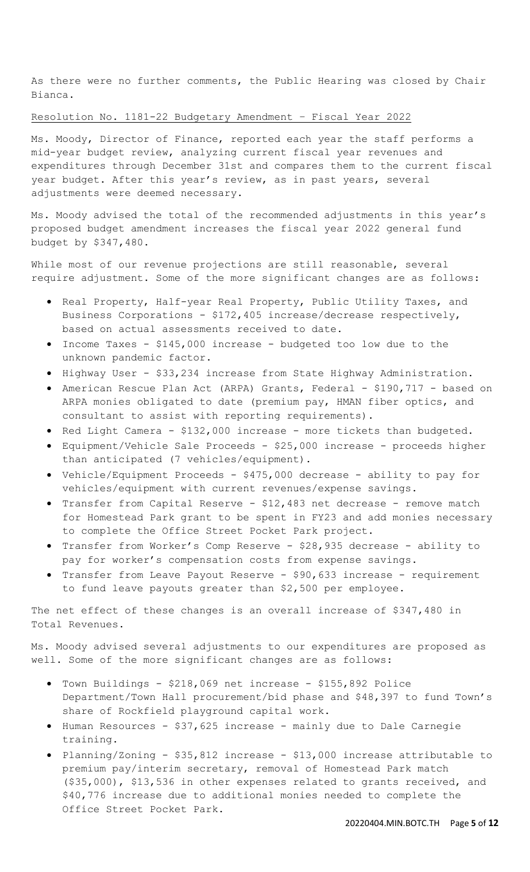As there were no further comments, the Public Hearing was closed by Chair Bianca.

## Resolution No. 1181-22 Budgetary Amendment – Fiscal Year 2022

Ms. Moody, Director of Finance, reported each year the staff performs a mid-year budget review, analyzing current fiscal year revenues and expenditures through December 31st and compares them to the current fiscal year budget. After this year's review, as in past years, several adjustments were deemed necessary.

Ms. Moody advised the total of the recommended adjustments in this year's proposed budget amendment increases the fiscal year 2022 general fund budget by \$347,480.

While most of our revenue projections are still reasonable, several require adjustment. Some of the more significant changes are as follows:

- Real Property, Half-year Real Property, Public Utility Taxes, and Business Corporations - \$172,405 increase/decrease respectively, based on actual assessments received to date.
- Income Taxes \$145,000 increase budgeted too low due to the unknown pandemic factor.
- Highway User \$33,234 increase from State Highway Administration.
- American Rescue Plan Act (ARPA) Grants, Federal \$190,717 based on ARPA monies obligated to date (premium pay, HMAN fiber optics, and consultant to assist with reporting requirements).
- Red Light Camera \$132,000 increase more tickets than budgeted.
- Equipment/Vehicle Sale Proceeds \$25,000 increase proceeds higher than anticipated (7 vehicles/equipment).
- Vehicle/Equipment Proceeds \$475,000 decrease ability to pay for vehicles/equipment with current revenues/expense savings.
- Transfer from Capital Reserve \$12,483 net decrease remove match for Homestead Park grant to be spent in FY23 and add monies necessary to complete the Office Street Pocket Park project.
- Transfer from Worker's Comp Reserve \$28,935 decrease ability to pay for worker's compensation costs from expense savings.
- Transfer from Leave Payout Reserve \$90,633 increase requirement to fund leave payouts greater than \$2,500 per employee.

The net effect of these changes is an overall increase of \$347,480 in Total Revenues.

Ms. Moody advised several adjustments to our expenditures are proposed as well. Some of the more significant changes are as follows:

- Town Buildings \$218,069 net increase \$155,892 Police Department/Town Hall procurement/bid phase and \$48,397 to fund Town's share of Rockfield playground capital work.
- Human Resources \$37,625 increase mainly due to Dale Carnegie training.
- Planning/Zoning \$35,812 increase \$13,000 increase attributable to premium pay/interim secretary, removal of Homestead Park match (\$35,000), \$13,536 in other expenses related to grants received, and \$40,776 increase due to additional monies needed to complete the Office Street Pocket Park.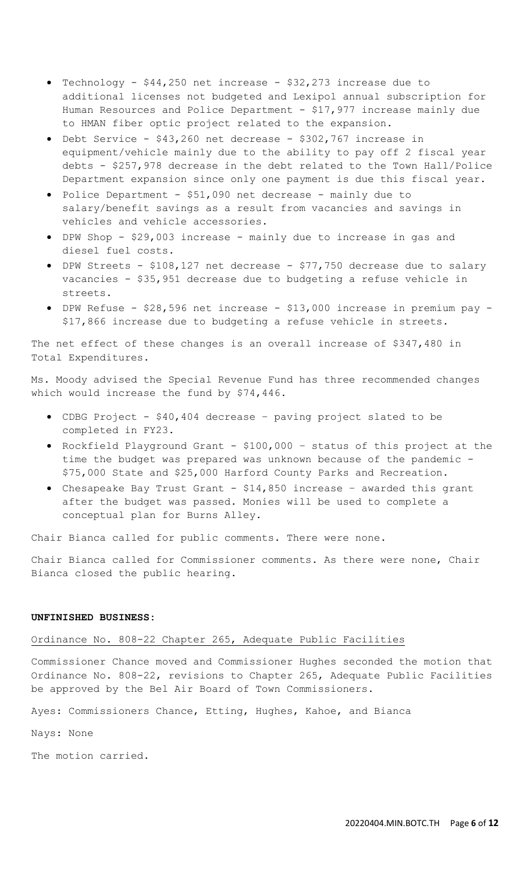- Technology \$44,250 net increase \$32,273 increase due to additional licenses not budgeted and Lexipol annual subscription for Human Resources and Police Department -  $$17,977$  increase mainly due to HMAN fiber optic project related to the expansion.
- Debt Service \$43,260 net decrease \$302,767 increase in equipment/vehicle mainly due to the ability to pay off 2 fiscal year debts - \$257,978 decrease in the debt related to the Town Hall/Police Department expansion since only one payment is due this fiscal year.
- Police Department \$51,090 net decrease mainly due to salary/benefit savings as a result from vacancies and savings in vehicles and vehicle accessories.
- DPW Shop \$29,003 increase mainly due to increase in gas and diesel fuel costs.
- DPW Streets \$108,127 net decrease \$77,750 decrease due to salary vacancies - \$35,951 decrease due to budgeting a refuse vehicle in streets.
- DPW Refuse \$28,596 net increase \$13,000 increase in premium pay \$17,866 increase due to budgeting a refuse vehicle in streets.

The net effect of these changes is an overall increase of \$347,480 in Total Expenditures.

Ms. Moody advised the Special Revenue Fund has three recommended changes which would increase the fund by \$74,446.

- CDBG Project \$40,404 decrease paving project slated to be completed in FY23.
- Rockfield Playground Grant \$100,000 status of this project at the time the budget was prepared was unknown because of the pandemic - \$75,000 State and \$25,000 Harford County Parks and Recreation.
- Chesapeake Bay Trust Grant \$14,850 increase awarded this grant after the budget was passed. Monies will be used to complete a conceptual plan for Burns Alley.

Chair Bianca called for public comments. There were none.

Chair Bianca called for Commissioner comments. As there were none, Chair Bianca closed the public hearing.

# **UNFINISHED BUSINESS:**

#### Ordinance No. 808-22 Chapter 265, Adequate Public Facilities

Commissioner Chance moved and Commissioner Hughes seconded the motion that Ordinance No. 808-22, revisions to Chapter 265, Adequate Public Facilities be approved by the Bel Air Board of Town Commissioners.

Ayes: Commissioners Chance, Etting, Hughes, Kahoe, and Bianca

Nays: None

The motion carried.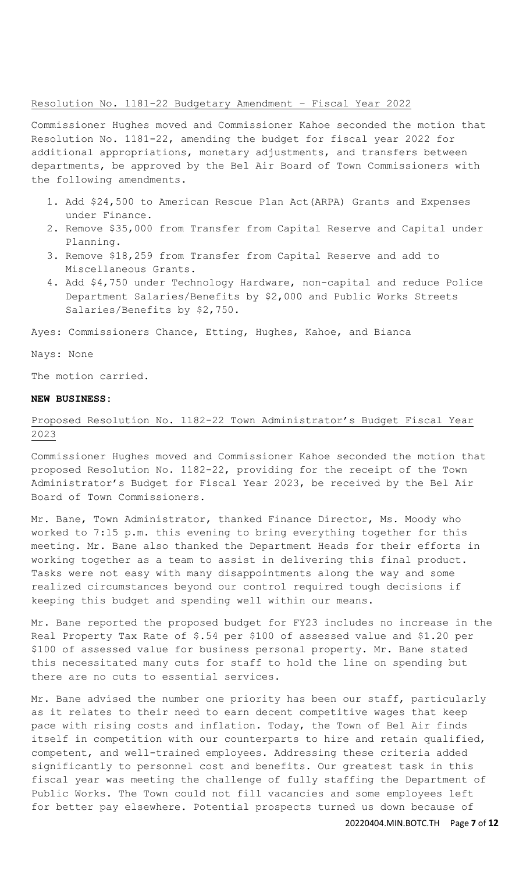## Resolution No. 1181-22 Budgetary Amendment – Fiscal Year 2022

Commissioner Hughes moved and Commissioner Kahoe seconded the motion that Resolution No. 1181-22, amending the budget for fiscal year 2022 for additional appropriations, monetary adjustments, and transfers between departments, be approved by the Bel Air Board of Town Commissioners with the following amendments.

- 1. Add \$24,500 to American Rescue Plan Act(ARPA) Grants and Expenses under Finance.
- 2. Remove \$35,000 from Transfer from Capital Reserve and Capital under Planning.
- 3. Remove \$18,259 from Transfer from Capital Reserve and add to Miscellaneous Grants.
- 4. Add \$4,750 under Technology Hardware, non-capital and reduce Police Department Salaries/Benefits by \$2,000 and Public Works Streets Salaries/Benefits by \$2,750.

Ayes: Commissioners Chance, Etting, Hughes, Kahoe, and Bianca

Nays: None

The motion carried.

### **NEW BUSINESS:**

# Proposed Resolution No. 1182-22 Town Administrator's Budget Fiscal Year 2023

Commissioner Hughes moved and Commissioner Kahoe seconded the motion that proposed Resolution No. 1182-22, providing for the receipt of the Town Administrator's Budget for Fiscal Year 2023, be received by the Bel Air Board of Town Commissioners.

Mr. Bane, Town Administrator, thanked Finance Director, Ms. Moody who worked to 7:15 p.m. this evening to bring everything together for this meeting. Mr. Bane also thanked the Department Heads for their efforts in working together as a team to assist in delivering this final product. Tasks were not easy with many disappointments along the way and some realized circumstances beyond our control required tough decisions if keeping this budget and spending well within our means.

Mr. Bane reported the proposed budget for FY23 includes no increase in the Real Property Tax Rate of \$.54 per \$100 of assessed value and \$1.20 per \$100 of assessed value for business personal property. Mr. Bane stated this necessitated many cuts for staff to hold the line on spending but there are no cuts to essential services.

Mr. Bane advised the number one priority has been our staff, particularly as it relates to their need to earn decent competitive wages that keep pace with rising costs and inflation. Today, the Town of Bel Air finds itself in competition with our counterparts to hire and retain qualified, competent, and well-trained employees. Addressing these criteria added significantly to personnel cost and benefits. Our greatest task in this fiscal year was meeting the challenge of fully staffing the Department of Public Works. The Town could not fill vacancies and some employees left for better pay elsewhere. Potential prospects turned us down because of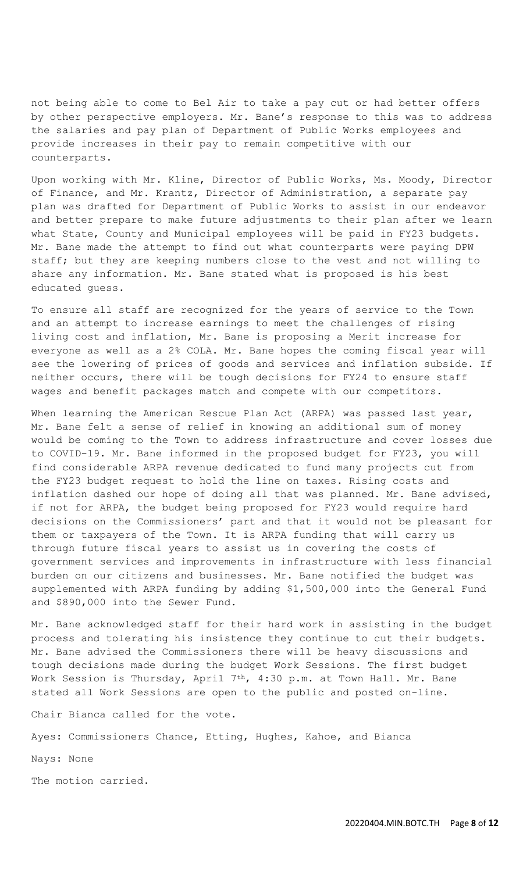not being able to come to Bel Air to take a pay cut or had better offers by other perspective employers. Mr. Bane's response to this was to address the salaries and pay plan of Department of Public Works employees and provide increases in their pay to remain competitive with our counterparts.

Upon working with Mr. Kline, Director of Public Works, Ms. Moody, Director of Finance, and Mr. Krantz, Director of Administration, a separate pay plan was drafted for Department of Public Works to assist in our endeavor and better prepare to make future adjustments to their plan after we learn what State, County and Municipal employees will be paid in FY23 budgets. Mr. Bane made the attempt to find out what counterparts were paying DPW staff; but they are keeping numbers close to the vest and not willing to share any information. Mr. Bane stated what is proposed is his best educated guess.

To ensure all staff are recognized for the years of service to the Town and an attempt to increase earnings to meet the challenges of rising living cost and inflation, Mr. Bane is proposing a Merit increase for everyone as well as a 2% COLA. Mr. Bane hopes the coming fiscal year will see the lowering of prices of goods and services and inflation subside. If neither occurs, there will be tough decisions for FY24 to ensure staff wages and benefit packages match and compete with our competitors.

When learning the American Rescue Plan Act (ARPA) was passed last year, Mr. Bane felt a sense of relief in knowing an additional sum of money would be coming to the Town to address infrastructure and cover losses due to COVID-19. Mr. Bane informed in the proposed budget for FY23, you will find considerable ARPA revenue dedicated to fund many projects cut from the FY23 budget request to hold the line on taxes. Rising costs and inflation dashed our hope of doing all that was planned. Mr. Bane advised, if not for ARPA, the budget being proposed for FY23 would require hard decisions on the Commissioners' part and that it would not be pleasant for them or taxpayers of the Town. It is ARPA funding that will carry us through future fiscal years to assist us in covering the costs of government services and improvements in infrastructure with less financial burden on our citizens and businesses. Mr. Bane notified the budget was supplemented with ARPA funding by adding \$1,500,000 into the General Fund and \$890,000 into the Sewer Fund.

Mr. Bane acknowledged staff for their hard work in assisting in the budget process and tolerating his insistence they continue to cut their budgets. Mr. Bane advised the Commissioners there will be heavy discussions and tough decisions made during the budget Work Sessions. The first budget Work Session is Thursday, April 7<sup>th</sup>, 4:30 p.m. at Town Hall. Mr. Bane stated all Work Sessions are open to the public and posted on-line.

Chair Bianca called for the vote.

Ayes: Commissioners Chance, Etting, Hughes, Kahoe, and Bianca

Nays: None

The motion carried.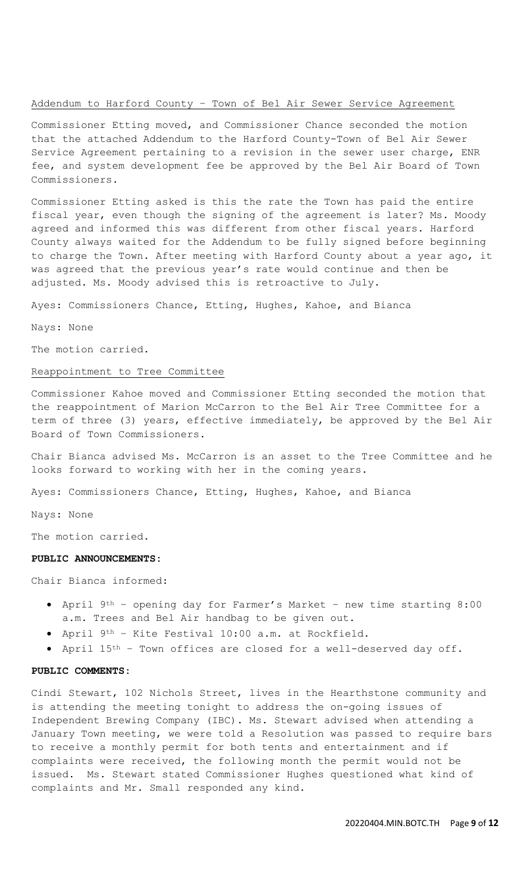## Addendum to Harford County – Town of Bel Air Sewer Service Agreement

Commissioner Etting moved, and Commissioner Chance seconded the motion that the attached Addendum to the Harford County-Town of Bel Air Sewer Service Agreement pertaining to a revision in the sewer user charge, ENR fee, and system development fee be approved by the Bel Air Board of Town Commissioners.

Commissioner Etting asked is this the rate the Town has paid the entire fiscal year, even though the signing of the agreement is later? Ms. Moody agreed and informed this was different from other fiscal years. Harford County always waited for the Addendum to be fully signed before beginning to charge the Town. After meeting with Harford County about a year ago, it was agreed that the previous year's rate would continue and then be adjusted. Ms. Moody advised this is retroactive to July.

Ayes: Commissioners Chance, Etting, Hughes, Kahoe, and Bianca

Nays: None

The motion carried.

### Reappointment to Tree Committee

Commissioner Kahoe moved and Commissioner Etting seconded the motion that the reappointment of Marion McCarron to the Bel Air Tree Committee for a term of three (3) years, effective immediately, be approved by the Bel Air Board of Town Commissioners.

Chair Bianca advised Ms. McCarron is an asset to the Tree Committee and he looks forward to working with her in the coming years.

Ayes: Commissioners Chance, Etting, Hughes, Kahoe, and Bianca

Nays: None

The motion carried.

### **PUBLIC ANNOUNCEMENTS:**

Chair Bianca informed:

- April 9th opening day for Farmer's Market new time starting 8:00 a.m. Trees and Bel Air handbag to be given out.
- April 9th Kite Festival 10:00 a.m. at Rockfield.
- April 15th Town offices are closed for a well-deserved day off.

#### **PUBLIC COMMENTS:**

Cindi Stewart, 102 Nichols Street, lives in the Hearthstone community and is attending the meeting tonight to address the on-going issues of Independent Brewing Company (IBC). Ms. Stewart advised when attending a January Town meeting, we were told a Resolution was passed to require bars to receive a monthly permit for both tents and entertainment and if complaints were received, the following month the permit would not be issued. Ms. Stewart stated Commissioner Hughes questioned what kind of complaints and Mr. Small responded any kind.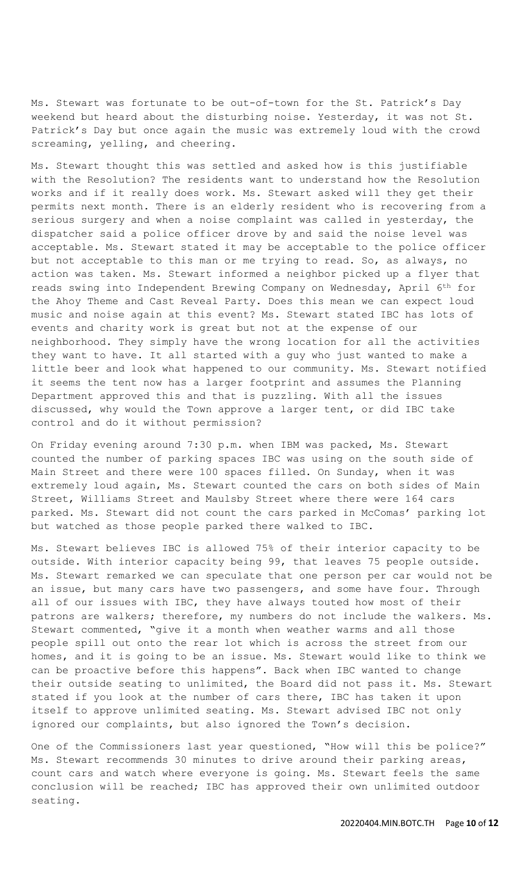Ms. Stewart was fortunate to be out-of-town for the St. Patrick's Day weekend but heard about the disturbing noise. Yesterday, it was not St. Patrick's Day but once again the music was extremely loud with the crowd screaming, yelling, and cheering.

Ms. Stewart thought this was settled and asked how is this justifiable with the Resolution? The residents want to understand how the Resolution works and if it really does work. Ms. Stewart asked will they get their permits next month. There is an elderly resident who is recovering from a serious surgery and when a noise complaint was called in yesterday, the dispatcher said a police officer drove by and said the noise level was acceptable. Ms. Stewart stated it may be acceptable to the police officer but not acceptable to this man or me trying to read. So, as always, no action was taken. Ms. Stewart informed a neighbor picked up a flyer that reads swing into Independent Brewing Company on Wednesday, April 6th for the Ahoy Theme and Cast Reveal Party. Does this mean we can expect loud music and noise again at this event? Ms. Stewart stated IBC has lots of events and charity work is great but not at the expense of our neighborhood. They simply have the wrong location for all the activities they want to have. It all started with a guy who just wanted to make a little beer and look what happened to our community. Ms. Stewart notified it seems the tent now has a larger footprint and assumes the Planning Department approved this and that is puzzling. With all the issues discussed, why would the Town approve a larger tent, or did IBC take control and do it without permission?

On Friday evening around 7:30 p.m. when IBM was packed, Ms. Stewart counted the number of parking spaces IBC was using on the south side of Main Street and there were 100 spaces filled. On Sunday, when it was extremely loud again, Ms. Stewart counted the cars on both sides of Main Street, Williams Street and Maulsby Street where there were 164 cars parked. Ms. Stewart did not count the cars parked in McComas' parking lot but watched as those people parked there walked to IBC.

Ms. Stewart believes IBC is allowed 75% of their interior capacity to be outside. With interior capacity being 99, that leaves 75 people outside. Ms. Stewart remarked we can speculate that one person per car would not be an issue, but many cars have two passengers, and some have four. Through all of our issues with IBC, they have always touted how most of their patrons are walkers; therefore, my numbers do not include the walkers. Ms. Stewart commented, "give it a month when weather warms and all those people spill out onto the rear lot which is across the street from our homes, and it is going to be an issue. Ms. Stewart would like to think we can be proactive before this happens". Back when IBC wanted to change their outside seating to unlimited, the Board did not pass it. Ms. Stewart stated if you look at the number of cars there, IBC has taken it upon itself to approve unlimited seating. Ms. Stewart advised IBC not only ignored our complaints, but also ignored the Town's decision.

One of the Commissioners last year questioned, "How will this be police?" Ms. Stewart recommends 30 minutes to drive around their parking areas, count cars and watch where everyone is going. Ms. Stewart feels the same conclusion will be reached; IBC has approved their own unlimited outdoor seating.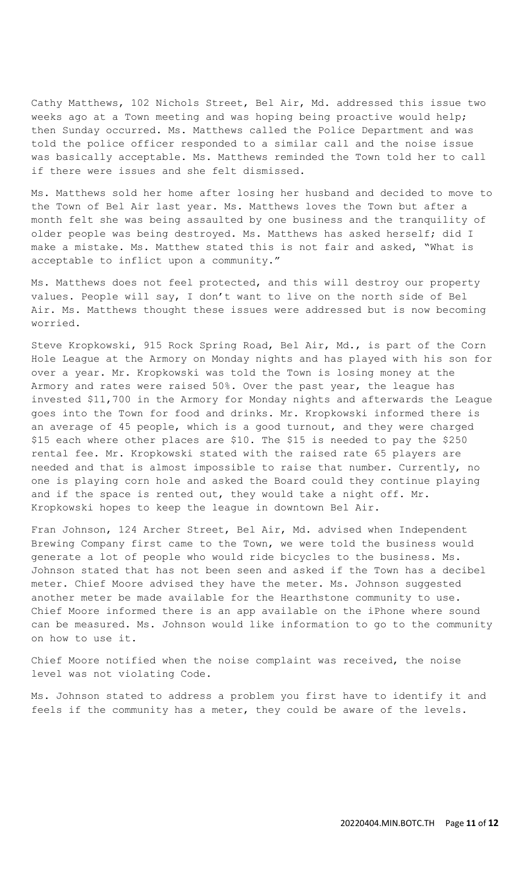Cathy Matthews, 102 Nichols Street, Bel Air, Md. addressed this issue two weeks ago at a Town meeting and was hoping being proactive would help; then Sunday occurred. Ms. Matthews called the Police Department and was told the police officer responded to a similar call and the noise issue was basically acceptable. Ms. Matthews reminded the Town told her to call if there were issues and she felt dismissed.

Ms. Matthews sold her home after losing her husband and decided to move to the Town of Bel Air last year. Ms. Matthews loves the Town but after a month felt she was being assaulted by one business and the tranquility of older people was being destroyed. Ms. Matthews has asked herself; did I make a mistake. Ms. Matthew stated this is not fair and asked, "What is acceptable to inflict upon a community."

Ms. Matthews does not feel protected, and this will destroy our property values. People will say, I don't want to live on the north side of Bel Air. Ms. Matthews thought these issues were addressed but is now becoming worried.

Steve Kropkowski, 915 Rock Spring Road, Bel Air, Md., is part of the Corn Hole League at the Armory on Monday nights and has played with his son for over a year. Mr. Kropkowski was told the Town is losing money at the Armory and rates were raised 50%. Over the past year, the league has invested \$11,700 in the Armory for Monday nights and afterwards the League goes into the Town for food and drinks. Mr. Kropkowski informed there is an average of 45 people, which is a good turnout, and they were charged \$15 each where other places are \$10. The \$15 is needed to pay the \$250 rental fee. Mr. Kropkowski stated with the raised rate 65 players are needed and that is almost impossible to raise that number. Currently, no one is playing corn hole and asked the Board could they continue playing and if the space is rented out, they would take a night off. Mr. Kropkowski hopes to keep the league in downtown Bel Air.

Fran Johnson, 124 Archer Street, Bel Air, Md. advised when Independent Brewing Company first came to the Town, we were told the business would generate a lot of people who would ride bicycles to the business. Ms. Johnson stated that has not been seen and asked if the Town has a decibel meter. Chief Moore advised they have the meter. Ms. Johnson suggested another meter be made available for the Hearthstone community to use. Chief Moore informed there is an app available on the iPhone where sound can be measured. Ms. Johnson would like information to go to the community on how to use it.

Chief Moore notified when the noise complaint was received, the noise level was not violating Code.

Ms. Johnson stated to address a problem you first have to identify it and feels if the community has a meter, they could be aware of the levels.